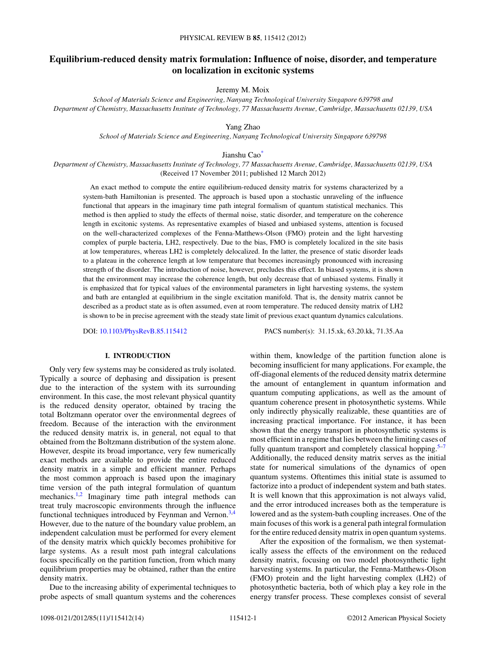# **Equilibrium-reduced density matrix formulation: Influence of noise, disorder, and temperature on localization in excitonic systems**

Jeremy M. Moix

*School of Materials Science and Engineering, Nanyang Technological University Singapore 639798 and Department of Chemistry, Massachusetts Institute of Technology, 77 Massachusetts Avenue, Cambridge, Massachusetts 02139, USA*

Yang Zhao

*School of Materials Science and Engineering, Nanyang Technological University Singapore 639798*

Jianshu Ca[o\\*](#page-12-0)

*Department of Chemistry, Massachusetts Institute of Technology, 77 Massachusetts Avenue, Cambridge, Massachusetts 02139, USA* (Received 17 November 2011; published 12 March 2012)

An exact method to compute the entire equilibrium-reduced density matrix for systems characterized by a system-bath Hamiltonian is presented. The approach is based upon a stochastic unraveling of the influence functional that appears in the imaginary time path integral formalism of quantum statistical mechanics. This method is then applied to study the effects of thermal noise, static disorder, and temperature on the coherence length in excitonic systems. As representative examples of biased and unbiased systems, attention is focused on the well-characterized complexes of the Fenna-Matthews-Olson (FMO) protein and the light harvesting complex of purple bacteria, LH2, respectively. Due to the bias, FMO is completely localized in the site basis at low temperatures, whereas LH2 is completely delocalized. In the latter, the presence of static disorder leads to a plateau in the coherence length at low temperature that becomes increasingly pronounced with increasing strength of the disorder. The introduction of noise, however, precludes this effect. In biased systems, it is shown that the environment may increase the coherence length, but only decrease that of unbiased systems. Finally it is emphasized that for typical values of the environmental parameters in light harvesting systems, the system and bath are entangled at equilibrium in the single excitation manifold. That is, the density matrix cannot be described as a product state as is often assumed, even at room temperature. The reduced density matrix of LH2 is shown to be in precise agreement with the steady state limit of previous exact quantum dynamics calculations.

DOI: [10.1103/PhysRevB.85.115412](http://dx.doi.org/10.1103/PhysRevB.85.115412) PACS number(s): 31*.*15*.*xk, 63*.*20*.*kk, 71*.*35*.*Aa

### **I. INTRODUCTION**

Only very few systems may be considered as truly isolated. Typically a source of dephasing and dissipation is present due to the interaction of the system with its surrounding environment. In this case, the most relevant physical quantity is the reduced density operator, obtained by tracing the total Boltzmann operator over the environmental degrees of freedom. Because of the interaction with the environment the reduced density matrix is, in general, not equal to that obtained from the Boltzmann distribution of the system alone. However, despite its broad importance, very few numerically exact methods are available to provide the entire reduced density matrix in a simple and efficient manner. Perhaps the most common approach is based upon the imaginary time version of the path integral formulation of quantum mechanics.<sup>1,2</sup> Imaginary time path integral methods can treat truly macroscopic environments through the influence functional techniques introduced by Feynman and Vernon.<sup>[3,4](#page-12-0)</sup> However, due to the nature of the boundary value problem, an independent calculation must be performed for every element of the density matrix which quickly becomes prohibitive for large systems. As a result most path integral calculations focus specifically on the partition function, from which many equilibrium properties may be obtained, rather than the entire density matrix.

Due to the increasing ability of experimental techniques to probe aspects of small quantum systems and the coherences within them, knowledge of the partition function alone is becoming insufficient for many applications. For example, the off-diagonal elements of the reduced density matrix determine the amount of entanglement in quantum information and quantum computing applications, as well as the amount of quantum coherence present in photosynthetic systems. While only indirectly physically realizable, these quantities are of increasing practical importance. For instance, it has been shown that the energy transport in photosynthetic systems is most efficient in a regime that lies between the limiting cases of fully quantum transport and completely classical hopping.<sup>[5–7](#page-12-0)</sup> Additionally, the reduced density matrix serves as the initial state for numerical simulations of the dynamics of open quantum systems. Oftentimes this initial state is assumed to factorize into a product of independent system and bath states. It is well known that this approximation is not always valid, and the error introduced increases both as the temperature is lowered and as the system-bath coupling increases. One of the main focuses of this work is a general path integral formulation for the entire reduced density matrix in open quantum systems.

After the exposition of the formalism, we then systematically assess the effects of the environment on the reduced density matrix, focusing on two model photosynthetic light harvesting systems. In particular, the Fenna-Matthews-Olson (FMO) protein and the light harvesting complex (LH2) of photosynthetic bacteria, both of which play a key role in the energy transfer process. These complexes consist of several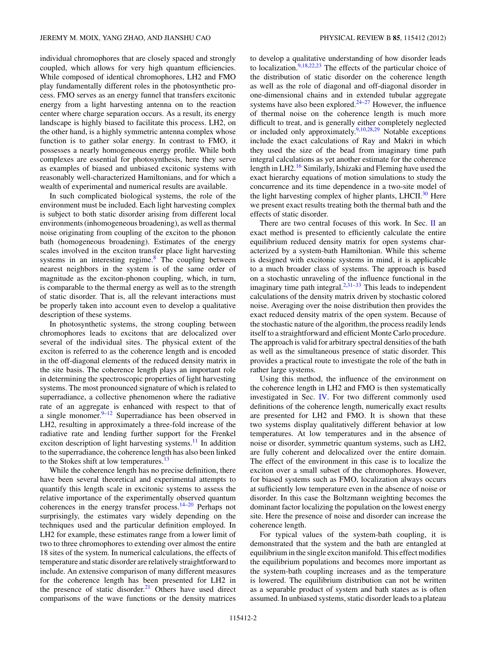individual chromophores that are closely spaced and strongly coupled, which allows for very high quantum efficiencies. While composed of identical chromophores, LH2 and FMO play fundamentally different roles in the photosynthetic process. FMO serves as an energy funnel that transfers excitonic energy from a light harvesting antenna on to the reaction center where charge separation occurs. As a result, its energy landscape is highly biased to facilitate this process. LH2, on the other hand, is a highly symmetric antenna complex whose function is to gather solar energy. In contrast to FMO, it possesses a nearly homogeneous energy profile. While both complexes are essential for photosynthesis, here they serve as examples of biased and unbiased excitonic systems with reasonably well-characterized Hamiltonians, and for which a wealth of experimental and numerical results are available.

In such complicated biological systems, the role of the environment must be included. Each light harvesting complex is subject to both static disorder arising from different local environments (inhomogeneous broadening), as well as thermal noise originating from coupling of the exciton to the phonon bath (homogeneous broadening). Estimates of the energy scales involved in the exciton transfer place light harvesting systems in an interesting regime. $8$  The coupling between nearest neighbors in the system is of the same order of magnitude as the exciton-phonon coupling, which, in turn, is comparable to the thermal energy as well as to the strength of static disorder. That is, all the relevant interactions must be properly taken into account even to develop a qualitative description of these systems.

In photosynthetic systems, the strong coupling between chromophores leads to excitons that are delocalized over several of the individual sites. The physical extent of the exciton is referred to as the coherence length and is encoded in the off-diagonal elements of the reduced density matrix in the site basis. The coherence length plays an important role in determining the spectroscopic properties of light harvesting systems. The most pronounced signature of which is related to superradiance, a collective phenomenon where the radiative rate of an aggregate is enhanced with respect to that of a single monomer. $9-12$  Superradiance has been observed in LH2, resulting in approximately a three-fold increase of the radiative rate and lending further support for the Frenkel exciton description of light harvesting systems. $^{11}$  $^{11}$  $^{11}$  In addition to the superradiance, the coherence length has also been linked to the Stokes shift at low temperatures.<sup>[13](#page-12-0)</sup>

While the coherence length has no precise definition, there have been several theoretical and experimental attempts to quantify this length scale in excitonic systems to assess the relative importance of the experimentally observed quantum coherences in the energy transfer process.[14–20](#page-12-0) Perhaps not surprisingly, the estimates vary widely depending on the techniques used and the particular definition employed. In LH2 for example, these estimates range from a lower limit of two to three chromophores to extending over almost the entire 18 sites of the system. In numerical calculations, the effects of temperature and static disorder are relatively straightforward to include. An extensive comparison of many different measures for the coherence length has been presented for LH2 in the presence of static disorder. $21$  Others have used direct comparisons of the wave functions or the density matrices

to develop a qualitative understanding of how disorder leads to localization.<sup>9,18,22,23</sup> The effects of the particular choice of the distribution of static disorder on the coherence length as well as the role of diagonal and off-diagonal disorder in one-dimensional chains and in extended tubular aggregate systems have also been explored. $24-27$  However, the influence of thermal noise on the coherence length is much more difficult to treat, and is generally either completely neglected or included only approximately. $9,10,28,29$  $9,10,28,29$  Notable exceptions include the exact calculations of Ray and Makri in which they used the size of the bead from imaginary time path integral calculations as yet another estimate for the coherence length in LH2.<sup>[16](#page-12-0)</sup> Similarly, Ishizaki and Fleming have used the exact hierarchy equations of motion simulations to study the concurrence and its time dependence in a two-site model of the light harvesting complex of higher plants, LHCII. $30$  Here we present exact results treating both the thermal bath and the effects of static disorder.

There are two central focuses of this work. In Sec. [II](#page-2-0) an exact method is presented to efficiently calculate the entire equilibrium reduced density matrix for open systems characterized by a system-bath Hamiltonian. While this scheme is designed with excitonic systems in mind, it is applicable to a much broader class of systems. The approach is based on a stochastic unraveling of the influence functional in the imaginary time path integral. $2,31-33$  $2,31-33$  This leads to independent calculations of the density matrix driven by stochastic colored noise. Averaging over the noise distribution then provides the exact reduced density matrix of the open system. Because of the stochastic nature of the algorithm, the process readily lends itself to a straightforward and efficient Monte Carlo procedure. The approach is valid for arbitrary spectral densities of the bath as well as the simultaneous presence of static disorder. This provides a practical route to investigate the role of the bath in rather large systems.

Using this method, the influence of the environment on the coherence length in LH2 and FMO is then systematically investigated in Sec. [IV.](#page-5-0) For two different commonly used definitions of the coherence length, numerically exact results are presented for LH2 and FMO. It is shown that these two systems display qualitatively different behavior at low temperatures. At low temperatures and in the absence of noise or disorder, symmetric quantum systems, such as LH2, are fully coherent and delocalized over the entire domain. The effect of the environment in this case is to localize the exciton over a small subset of the chromophores. However, for biased systems such as FMO, localization always occurs at sufficiently low temperature even in the absence of noise or disorder. In this case the Boltzmann weighting becomes the dominant factor localizing the population on the lowest energy site. Here the presence of noise and disorder can increase the coherence length.

For typical values of the system-bath coupling, it is demonstrated that the system and the bath are entangled at equilibrium in the single exciton manifold. This effect modifies the equilibrium populations and becomes more important as the system-bath coupling increases and as the temperature is lowered. The equilibrium distribution can not be written as a separable product of system and bath states as is often assumed. In unbiased systems, static disorder leads to a plateau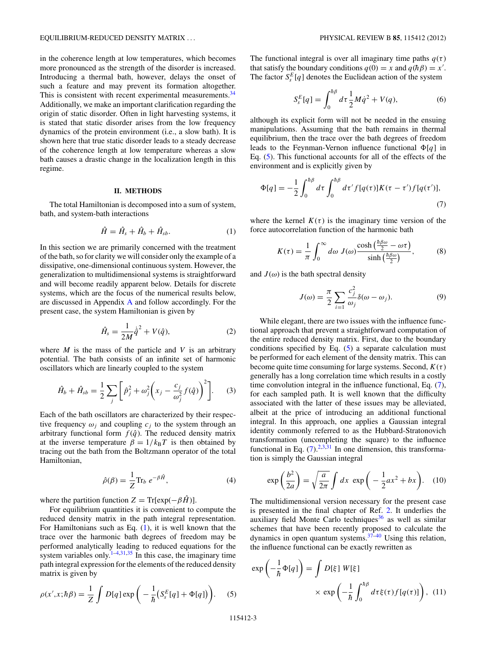<span id="page-2-0"></span>in the coherence length at low temperatures, which becomes more pronounced as the strength of the disorder is increased. Introducing a thermal bath, however, delays the onset of such a feature and may prevent its formation altogether. This is consistent with recent experimental measurements.<sup>34</sup> Additionally, we make an important clarification regarding the origin of static disorder. Often in light harvesting systems, it is stated that static disorder arises from the low frequency dynamics of the protein environment (i.e., a slow bath). It is shown here that true static disorder leads to a steady decrease of the coherence length at low temperature whereas a slow bath causes a drastic change in the localization length in this regime.

#### **II. METHODS**

The total Hamiltonian is decomposed into a sum of system, bath, and system-bath interactions

$$
\hat{H} = \hat{H}_s + \hat{H}_b + \hat{H}_{sb}.
$$
 (1)

In this section we are primarily concerned with the treatment of the bath, so for clarity we will consider only the example of a dissipative, one-dimensional continuous system. However, the generalization to multidimensional systems is straightforward and will become readily apparent below. Details for discrete systems, which are the focus of the numerical results below, are discussed in Appendix [A](#page-12-0) and follow accordingly. For the present case, the system Hamiltonian is given by

$$
\hat{H}_s = \frac{1}{2M}\dot{\hat{q}}^2 + V(\hat{q}),
$$
\n(2)

where  $M$  is the mass of the particle and  $V$  is an arbitrary potential. The bath consists of an infinite set of harmonic oscillators which are linearly coupled to the system

$$
\hat{H}_b + \hat{H}_{sb} = \frac{1}{2} \sum_j \left[ \hat{p}_j^2 + \omega_j^2 \left( x_j - \frac{c_j}{\omega_j^2} f(\hat{q}) \right)^2 \right].
$$
 (3)

Each of the bath oscillators are characterized by their respective frequency  $\omega_i$  and coupling  $c_i$  to the system through an arbitrary functional form  $f(\hat{q})$ . The reduced density matrix at the inverse temperature  $\beta = 1/k_B T$  is then obtained by tracing out the bath from the Boltzmann operator of the total Hamiltonian,

$$
\hat{\rho}(\beta) = \frac{1}{Z} \text{Tr}_b \ e^{-\beta \hat{H}},\tag{4}
$$

where the partition function  $Z = \text{Tr}[\exp(-\beta \hat{H})]$ .

For equilibrium quantities it is convenient to compute the reduced density matrix in the path integral representation. For Hamiltonians such as Eq.  $(1)$ , it is well known that the trace over the harmonic bath degrees of freedom may be performed analytically leading to reduced equations for the system variables only.<sup>[1–4](#page-12-0)[,31,35](#page-13-0)</sup> In this case, the imaginary time path integral expression for the elements of the reduced density matrix is given by

$$
\rho(x',x;\hbar\beta) = \frac{1}{Z} \int D[q] \exp\bigg(-\frac{1}{\hbar}\big(S_s^E[q] + \Phi[q]\big)\bigg). \tag{5}
$$

The functional integral is over all imaginary time paths  $q(\tau)$ that satisfy the boundary conditions  $q(0) = x$  and  $q(h\beta) = x'$ . The factor  $S_s^E[q]$  denotes the Euclidean action of the system

$$
S_s^E[q] = \int_0^{\hbar \beta} d\tau \frac{1}{2} M \dot{q}^2 + V(q), \tag{6}
$$

although its explicit form will not be needed in the ensuing manipulations. Assuming that the bath remains in thermal equilibrium, then the trace over the bath degrees of freedom leads to the Feynman-Vernon influence functional  $\Phi[q]$  in Eq. (5). This functional accounts for all of the effects of the environment and is explicitly given by

$$
\Phi[q] = -\frac{1}{2} \int_0^{\hbar \beta} d\tau \int_0^{\hbar \beta} d\tau' f[q(\tau)] K(\tau - \tau') f[q(\tau')],\tag{7}
$$

where the kernel  $K(\tau)$  is the imaginary time version of the force autocorrelation function of the harmonic bath

$$
K(\tau) = \frac{1}{\pi} \int_0^\infty d\omega \, J(\omega) \frac{\cosh\left(\frac{\hbar \beta \omega}{2} - \omega \tau\right)}{\sinh\left(\frac{\hbar \beta \omega}{2}\right)},\tag{8}
$$

and  $J(\omega)$  is the bath spectral density

$$
J(\omega) = \frac{\pi}{2} \sum_{i=1}^{\infty} \frac{c_j^2}{\omega_j} \delta(\omega - \omega_j).
$$
 (9)

While elegant, there are two issues with the influence functional approach that prevent a straightforward computation of the entire reduced density matrix. First, due to the boundary conditions specified by Eq.  $(5)$  a separate calculation must be performed for each element of the density matrix. This can become quite time consuming for large systems. Second,  $K(\tau)$ generally has a long correlation time which results in a costly time convolution integral in the influence functional, Eq. (7), for each sampled path. It is well known that the difficulty associated with the latter of these issues may be alleviated, albeit at the price of introducing an additional functional integral. In this approach, one applies a Gaussian integral identity commonly referred to as the Hubbard-Stratonovich transformation (uncompleting the square) to the influence functional in Eq.  $(7)$ .<sup>[2,3](#page-12-0)[,31](#page-13-0)</sup> In one dimension, this transformation is simply the Gaussian integral

$$
\exp\left(\frac{b^2}{2a}\right) = \sqrt{\frac{a}{2\pi}} \int dx \exp\left(-\frac{1}{2}ax^2 + bx\right). \quad (10)
$$

The multidimensional version necessary for the present case is presented in the final chapter of Ref. [2.](#page-12-0) It underlies the auxiliary field Monte Carlo techniques $36$  as well as similar schemes that have been recently proposed to calculate the dynamics in open quantum systems. $37-40$  Using this relation, the influence functional can be exactly rewritten as

$$
\exp\left(-\frac{1}{\hbar}\Phi[q]\right) = \int D[\xi] W[\xi]
$$

$$
\times \exp\left(-\frac{1}{\hbar}\int_0^{\hbar\beta} d\tau \xi(\tau) f[q(\tau)]\right), (11)
$$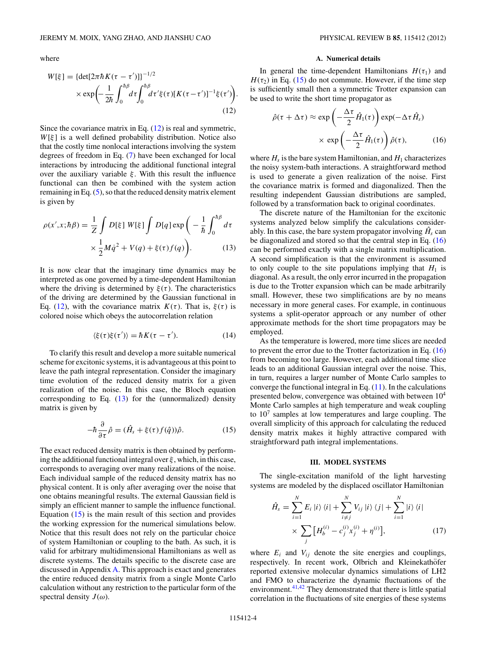<span id="page-3-0"></span>where

$$
W[\xi] = {\det[2\pi\hbar K(\tau - \tau')] }^{-1/2}
$$
  
 
$$
\times \exp\left(-\frac{1}{2\hbar} \int_0^{\hbar \beta} d\tau \int_0^{\hbar \beta} d\tau' \xi(\tau) [K(\tau - \tau')]^{-1} \xi(\tau')\right)
$$
(12)

*.*

Since the covariance matrix in Eq.  $(12)$  is real and symmetric, *W*[*ξ* ] is a well defined probability distribution. Notice also that the costly time nonlocal interactions involving the system degrees of freedom in Eq. [\(7\)](#page-2-0) have been exchanged for local interactions by introducing the additional functional integral over the auxiliary variable *ξ* . With this result the influence functional can then be combined with the system action remaining in Eq. [\(5\)](#page-2-0), so that the reduced density matrix element is given by

$$
\rho(x',x;\hbar\beta) = \frac{1}{Z} \int D[\xi] W[\xi] \int D[q] \exp\left(-\frac{1}{\hbar} \int_0^{\hbar\beta} d\tau \times \frac{1}{2} M \dot{q}^2 + V(q) + \xi(\tau) f(q)\right).
$$
 (13)

It is now clear that the imaginary time dynamics may be interpreted as one governed by a time-dependent Hamiltonian where the driving is determined by  $\xi(\tau)$ . The characteristics of the driving are determined by the Gaussian functional in Eq. (12), with the covariance matrix  $K(\tau)$ . That is,  $\xi(\tau)$  is colored noise which obeys the autocorrelation relation

$$
\langle \xi(\tau)\xi(\tau')\rangle = \hbar K(\tau - \tau'). \tag{14}
$$

To clarify this result and develop a more suitable numerical scheme for excitonic systems, it is advantageous at this point to leave the path integral representation. Consider the imaginary time evolution of the reduced density matrix for a given realization of the noise. In this case, the Bloch equation corresponding to Eq.  $(13)$  for the (unnormalized) density matrix is given by

$$
-\hbar \frac{\partial}{\partial \tau} \hat{\rho} = (\hat{H}_s + \xi(\tau) f(\hat{q})) \hat{\rho}.
$$
 (15)

The exact reduced density matrix is then obtained by performing the additional functional integral over *ξ* , which, in this case, corresponds to averaging over many realizations of the noise. Each individual sample of the reduced density matrix has no physical content. It is only after averaging over the noise that one obtains meaningful results. The external Gaussian field is simply an efficient manner to sample the influence functional. Equation  $(15)$  is the main result of this section and provides the working expression for the numerical simulations below. Notice that this result does not rely on the particular choice of system Hamiltonian or coupling to the bath. As such, it is valid for arbitrary multidimensional Hamiltonians as well as discrete systems. The details specific to the discrete case are discussed in Appendix [A.](#page-12-0) This approach is exact and generates the entire reduced density matrix from a single Monte Carlo calculation without any restriction to the particular form of the spectral density  $J(\omega)$ .

# **A. Numerical details**

In general the time-dependent Hamiltonians  $H(\tau_1)$  and  $H(\tau_2)$  in Eq. (15) do not commute. However, if the time step is sufficiently small then a symmetric Trotter expansion can be used to write the short time propagator as

$$
\hat{\rho}(\tau + \Delta \tau) \approx \exp\left(-\frac{\Delta \tau}{2} \hat{H}_1(\tau)\right) \exp(-\Delta \tau \hat{H}_s)
$$

$$
\times \exp\left(-\frac{\Delta \tau}{2} \hat{H}_1(\tau)\right) \hat{\rho}(\tau), \tag{16}
$$

where  $H_s$  is the bare system Hamiltonian, and  $H_1$  characterizes the noisy system-bath interactions. A straightforward method is used to generate a given realization of the noise. First the covariance matrix is formed and diagonalized. Then the resulting independent Gaussian distributions are sampled, followed by a transformation back to original coordinates.

The discrete nature of the Hamiltonian for the excitonic systems analyzed below simplify the calculations considerably. In this case, the bare system propagator involving  $\hat{H}_s$  can be diagonalized and stored so that the central step in Eq. (16) can be performed exactly with a single matrix multiplication. A second simplification is that the environment is assumed to only couple to the site populations implying that  $H_1$  is diagonal. As a result, the only error incurred in the propagation is due to the Trotter expansion which can be made arbitrarily small. However, these two simplifications are by no means necessary in more general cases. For example, in continuous systems a split-operator approach or any number of other approximate methods for the short time propagators may be employed.

As the temperature is lowered, more time slices are needed to prevent the error due to the Trotter factorization in Eq. (16) from becoming too large. However, each additional time slice leads to an additional Gaussian integral over the noise. This, in turn, requires a larger number of Monte Carlo samples to converge the functional integral in Eq.  $(11)$ . In the calculations presented below, convergence was obtained with between 104 Monte Carlo samples at high temperature and weak coupling to  $10<sup>7</sup>$  samples at low temperatures and large coupling. The overall simplicity of this approach for calculating the reduced density matrix makes it highly attractive compared with straightforward path integral implementations.

### **III. MODEL SYSTEMS**

The single-excitation manifold of the light harvesting systems are modeled by the displaced oscillator Hamiltonian

$$
\hat{H}_s = \sum_{i=1}^N E_i |i\rangle \langle i| + \sum_{i \neq j}^N V_{ij} |i\rangle \langle j| + \sum_{i=1}^N |i\rangle \langle i|
$$
\n
$$
\times \sum_j [H_b^{(i)} - c_j^{(i)} x_j^{(i)} + \eta^{(i)}], \tag{17}
$$

where  $E_i$  and  $V_{ij}$  denote the site energies and couplings, respectively. In recent work, Olbrich and Kleinekathöfer reported extensive molecular dynamics simulations of LH2 and FMO to characterize the dynamic fluctuations of the environment. $41,42$  They demonstrated that there is little spatial correlation in the fluctuations of site energies of these systems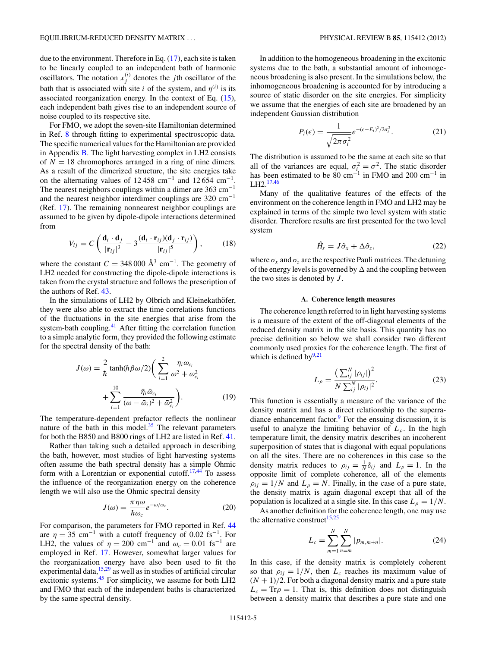<span id="page-4-0"></span>due to the environment. Therefore in Eq. [\(17\)](#page-3-0), each site is taken to be linearly coupled to an independent bath of harmonic oscillators. The notation  $x_j^{(i)}$  denotes the *j*th oscillator of the bath that is associated with site *i* of the system, and  $\eta^{(i)}$  is its associated reorganization energy. In the context of Eq. [\(15\)](#page-3-0), each independent bath gives rise to an independent source of noise coupled to its respective site.

For FMO, we adopt the seven-site Hamiltonian determined in Ref. [8](#page-12-0) through fitting to experimental spectroscopic data. The specific numerical values for the Hamiltonian are provided in Appendix [B.](#page-12-0) The light harvesting complex in LH2 consists of  $N = 18$  chromophores arranged in a ring of nine dimers. As a result of the dimerized structure, the site energies take on the alternating values of  $12\,458$  cm<sup>-1</sup> and  $12\,654$  cm<sup>-1</sup>. The nearest neighbors couplings within a dimer are 363 cm<sup>−</sup><sup>1</sup> and the nearest neighbor interdimer couplings are 320 cm<sup>−</sup><sup>1</sup> (Ref. [17\)](#page-12-0). The remaining nonnearest neighbor couplings are assumed to be given by dipole-dipole interactions determined from

$$
V_{ij} = C \left( \frac{\mathbf{d}_i \cdot \mathbf{d}_j}{|\mathbf{r}_{ij}|^3} - 3 \frac{(\mathbf{d}_i \cdot \mathbf{r}_{ij})(\mathbf{d}_j \cdot \mathbf{r}_{ij})}{|\mathbf{r}_{ij}|^5} \right),
$$
 (18)

where the constant  $C = 348\,000 \text{ Å}^3 \text{ cm}^{-1}$ . The geometry of LH2 needed for constructing the dipole-dipole interactions is taken from the crystal structure and follows the prescription of the authors of Ref. [43.](#page-13-0)

In the simulations of LH2 by Olbrich and Kleinekathöfer, they were also able to extract the time correlations functions of the fluctuations in the site energies that arise from the system-bath coupling.<sup>41</sup> After fitting the correlation function to a simple analytic form, they provided the following estimate for the spectral density of the bath:

$$
J(\omega) = \frac{2}{\hbar} \tanh(\hbar \beta \omega/2) \left( \sum_{i=1}^{2} \frac{\eta_i \omega_{c_i}}{\omega^2 + \omega_{c_i}^2} + \sum_{i=1}^{10} \frac{\bar{\eta}_i \bar{\omega}_{c_i}}{(\omega - \bar{\omega}_i)^2 + \bar{\omega}_{c_i}^2} \right).
$$
 (19)

The temperature-dependent prefactor reflects the nonlinear nature of the bath in this model. $35$  The relevant parameters for both the B850 and B800 rings of LH2 are listed in Ref. [41.](#page-13-0)

Rather than taking such a detailed approach in describing the bath, however, most studies of light harvesting systems often assume the bath spectral density has a simple Ohmic form with a Lorentzian or exponential cutoff.<sup>17,[44](#page-13-0)</sup> To assess the influence of the reorganization energy on the coherence length we will also use the Ohmic spectral density

$$
J(\omega) = \frac{\pi \eta \omega}{\hbar \omega_c} e^{-\omega/\omega_c}.
$$
 (20)

For comparison, the parameters for FMO reported in Ref. [44](#page-13-0) are  $\eta = 35$  cm<sup>-1</sup> with a cutoff frequency of 0.02 fs<sup>-1</sup>. For LH2, the values of  $\eta = 200 \text{ cm}^{-1}$  and  $\omega_c = 0.01 \text{ fs}^{-1}$  are employed in Ref. [17.](#page-12-0) However, somewhat larger values for the reorganization energy have also been used to fit the experimental data,  $15,29$  $15,29$  as well as in studies of artificial circular excitonic systems.<sup>[45](#page-13-0)</sup> For simplicity, we assume for both LH2 and FMO that each of the independent baths is characterized by the same spectral density.

In addition to the homogeneous broadening in the excitonic systems due to the bath, a substantial amount of inhomogeneous broadening is also present. In the simulations below, the inhomogeneous broadening is accounted for by introducing a source of static disorder on the site energies. For simplicity we assume that the energies of each site are broadened by an independent Gaussian distribution

$$
P_i(\epsilon) = \frac{1}{\sqrt{2\pi\sigma_i^2}} e^{-(\epsilon - E_i)^2/2\sigma_i^2}.
$$
 (21)

The distribution is assumed to be the same at each site so that all of the variances are equal,  $\sigma_i^2 = \sigma^2$ . The static disorder has been estimated to be 80 cm<sup>-1</sup> in FMO and 200 cm<sup>-1</sup> in LH2.[17,](#page-12-0)[46](#page-13-0)

Many of the qualitative features of the effects of the environment on the coherence length in FMO and LH2 may be explained in terms of the simple two level system with static disorder. Therefore results are first presented for the two level system

$$
\hat{H}_s = J\hat{\sigma}_x + \Delta \hat{\sigma}_z, \tag{22}
$$

where  $\sigma_x$  and  $\sigma_z$  are the respective Pauli matrices. The detuning of the energy levels is governed by  $\Delta$  and the coupling between the two sites is denoted by *J* .

### **A. Coherence length measures**

The coherence length referred to in light harvesting systems is a measure of the extent of the off-diagonal elements of the reduced density matrix in the site basis. This quantity has no precise definition so below we shall consider two different commonly used proxies for the coherence length. The first of which is defined by $9,21$ 

$$
L_{\rho} = \frac{\left(\sum_{ij}^{N} |\rho_{ij}|\right)^{2}}{N \sum_{ij}^{N} |\rho_{ij}|^{2}}.
$$
 (23)

This function is essentially a measure of the variance of the density matrix and has a direct relationship to the superradiance enhancement factor. $9$  For the ensuing discussion, it is useful to analyze the limiting behavior of  $L<sub>0</sub>$ . In the high temperature limit, the density matrix describes an incoherent superposition of states that is diagonal with equal populations on all the sites. There are no coherences in this case so the density matrix reduces to  $\rho_{ij} = \frac{1}{N} \delta_{ij}$  and  $L_\rho = 1$ . In the opposite limit of complete coherence, all of the elements  $\rho_{ij} = 1/N$  and  $L_\rho = N$ . Finally, in the case of a pure state, the density matrix is again diagonal except that all of the population is localized at a single site. In this case  $L_\rho = 1/N$ .

As another definition for the coherence length, one may use the alternative construct<sup>[15,25](#page-12-0)</sup>

$$
L_c = \sum_{m=1}^{N} \sum_{n=m}^{N} |p_{m,m+n}|.
$$
 (24)

In this case, if the density matrix is completely coherent so that  $\rho_{ij} = 1/N$ , then  $L_c$  reaches its maximum value of  $(N + 1)/2$ . For both a diagonal density matrix and a pure state  $L_c = Tr \rho = 1$ . That is, this definition does not distinguish between a density matrix that describes a pure state and one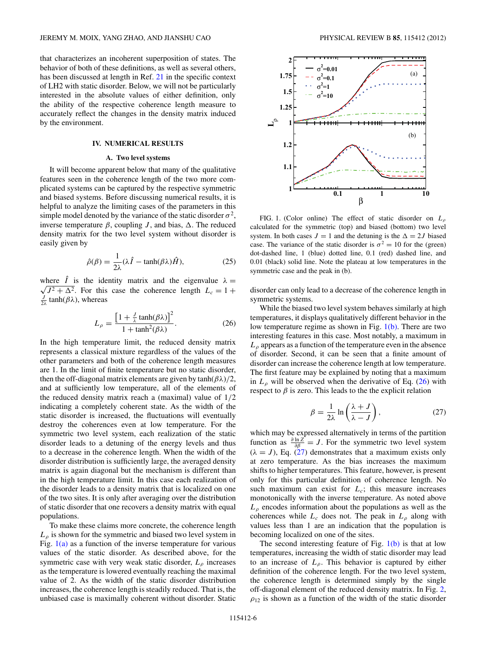<span id="page-5-0"></span>that characterizes an incoherent superposition of states. The behavior of both of these definitions, as well as several others, has been discussed at length in Ref. [21](#page-12-0) in the specific context of LH2 with static disorder. Below, we will not be particularly interested in the absolute values of either definition, only the ability of the respective coherence length measure to accurately reflect the changes in the density matrix induced by the environment.

# **IV. NUMERICAL RESULTS**

### **A. Two level systems**

It will become apparent below that many of the qualitative features seen in the coherence length of the two more complicated systems can be captured by the respective symmetric and biased systems. Before discussing numerical results, it is helpful to analyze the limiting cases of the parameters in this simple model denoted by the variance of the static disorder  $\sigma^2$ , inverse temperature  $β$ , coupling *J*, and bias,  $Δ$ . The reduced density matrix for the two level system without disorder is easily given by

$$
\hat{\rho}(\beta) = \frac{1}{2\lambda} (\lambda \hat{I} - \tanh(\beta \lambda) \hat{H}), \tag{25}
$$

where  $\hat{I}$  is the identity matrix and the eigenvalue  $\lambda =$  $\sqrt{J^2 + \Delta^2}$ . For this case the coherence length  $L_c = 1 + \Delta^2$  $\frac{J}{2\lambda}$  tanh( $\beta\lambda$ ), whereas

$$
L_{\rho} = \frac{\left[1 + \frac{J}{\lambda} \tanh(\beta \lambda)\right]^2}{1 + \tanh^2(\beta \lambda)}.
$$
 (26)

In the high temperature limit, the reduced density matrix represents a classical mixture regardless of the values of the other parameters and both of the coherence length measures are 1. In the limit of finite temperature but no static disorder, then the off-diagonal matrix elements are given by  $tanh(\beta\lambda)/2$ , and at sufficiently low temperature, all of the elements of the reduced density matrix reach a (maximal) value of 1*/*2 indicating a completely coherent state. As the width of the static disorder is increased, the fluctuations will eventually destroy the coherences even at low temperature. For the symmetric two level system, each realization of the static disorder leads to a detuning of the energy levels and thus to a decrease in the coherence length. When the width of the disorder distribution is sufficiently large, the averaged density matrix is again diagonal but the mechanism is different than in the high temperature limit. In this case each realization of the disorder leads to a density matrix that is localized on one of the two sites. It is only after averaging over the distribution of static disorder that one recovers a density matrix with equal populations.

To make these claims more concrete, the coherence length  $L_p$  is shown for the symmetric and biased two level system in Fig.  $1(a)$  as a function of the inverse temperature for various values of the static disorder. As described above, for the symmetric case with very weak static disorder, *Lρ* increases as the temperature is lowered eventually reaching the maximal value of 2. As the width of the static disorder distribution increases, the coherence length is steadily reduced. That is, the unbiased case is maximally coherent without disorder. Static



FIG. 1. (Color online) The effect of static disorder on  $L<sub>0</sub>$ calculated for the symmetric (top) and biased (bottom) two level system. In both cases  $J = 1$  and the detuning is the  $\Delta = 2J$  biased case. The variance of the static disorder is  $\sigma^2 = 10$  for the (green) dot-dashed line, 1 (blue) dotted line, 0*.*1 (red) dashed line, and 0*.*01 (black) solid line. Note the plateau at low temperatures in the symmetric case and the peak in (b).

disorder can only lead to a decrease of the coherence length in symmetric systems.

While the biased two level system behaves similarly at high temperatures, it displays qualitatively different behavior in the low temperature regime as shown in Fig.  $1(b)$ . There are two interesting features in this case. Most notably, a maximum in  $L_p$  appears as a function of the temperature even in the absence of disorder. Second, it can be seen that a finite amount of disorder can increase the coherence length at low temperature. The first feature may be explained by noting that a maximum in  $L_\rho$  will be observed when the derivative of Eq. (26) with respect to  $\beta$  is zero. This leads to the the explicit relation

$$
\beta = \frac{1}{2\lambda} \ln \left( \frac{\lambda + J}{\lambda - J} \right),\tag{27}
$$

which may be expressed alternatively in terms of the partition function as  $\frac{\partial \ln Z}{\partial \beta} = J$ . For the symmetric two level system  $(\lambda = J)$ , Eq. (27) demonstrates that a maximum exists only at zero temperature. As the bias increases the maximum shifts to higher temperatures. This feature, however, is present only for this particular definition of coherence length. No such maximum can exist for  $L_c$ ; this measure increases monotonically with the inverse temperature. As noted above  $L<sub>\rho</sub>$  encodes information about the populations as well as the coherences while  $L_c$  does not. The peak in  $L_p$  along with values less than 1 are an indication that the population is becoming localized on one of the sites.

The second interesting feature of Fig.  $1(b)$  is that at low temperatures, increasing the width of static disorder may lead to an increase of  $L<sub>\rho</sub>$ . This behavior is captured by either definition of the coherence length. For the two level system, the coherence length is determined simply by the single off-diagonal element of the reduced density matrix. In Fig. [2,](#page-6-0)  $\rho_{12}$  is shown as a function of the width of the static disorder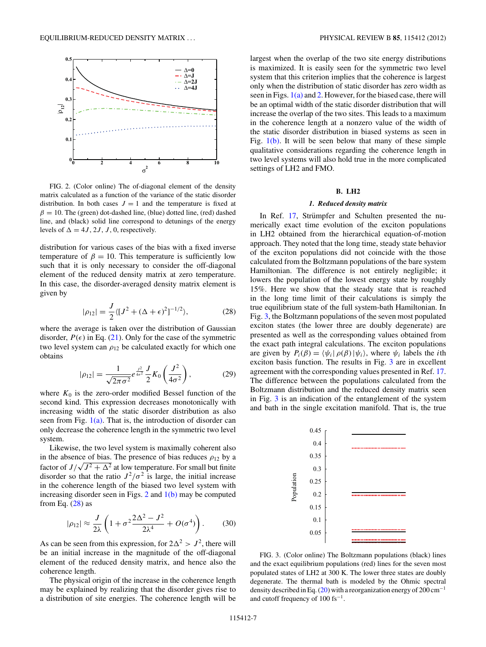<span id="page-6-0"></span>

FIG. 2. (Color online) The of-diagonal element of the density matrix calculated as a function of the variance of the static disorder distribution. In both cases  $J = 1$  and the temperature is fixed at  $\beta = 10$ . The (green) dot-dashed line, (blue) dotted line, (red) dashed line, and (black) solid line correspond to detunings of the energy levels of  $\Delta = 4J, 2J, J, 0$ , respectively.

distribution for various cases of the bias with a fixed inverse temperature of  $\beta = 10$ . This temperature is sufficiently low such that it is only necessary to consider the off-diagonal element of the reduced density matrix at zero temperature. In this case, the disorder-averaged density matrix element is given by

$$
|\rho_{12}| = \frac{J}{2} \langle [J^2 + (\Delta + \epsilon)^2]^{-1/2} \rangle, \tag{28}
$$

where the average is taken over the distribution of Gaussian disorder,  $P(\epsilon)$  in Eq. [\(21\)](#page-4-0). Only for the case of the symmetric two level system can  $\rho_{12}$  be calculated exactly for which one obtains

$$
|\rho_{12}| = \frac{1}{\sqrt{2\pi\sigma^2}} e^{\frac{J^2}{4\sigma^2}} \frac{J}{2} K_0 \left(\frac{J^2}{4\sigma^2}\right),
$$
 (29)

where  $K_0$  is the zero-order modified Bessel function of the second kind. This expression decreases monotonically with increasing width of the static disorder distribution as also seen from Fig.  $1(a)$ . That is, the introduction of disorder can only decrease the coherence length in the symmetric two level system.

Likewise, the two level system is maximally coherent also in the absence of bias. The presence of bias reduces  $\rho_{12}$  by a factor of  $J/\sqrt{J^2 + \Delta^2}$  at low temperature. For small but finite disorder so that the ratio  $J^2/\sigma^2$  is large, the initial increase in the coherence length of the biased two level system with increasing disorder seen in Figs.  $2$  and  $1(b)$  may be computed from Eq.  $(28)$  as

$$
|\rho_{12}| \approx \frac{J}{2\lambda} \left( 1 + \sigma^2 \frac{2\Delta^2 - J^2}{2\lambda^4} + O(\sigma^4) \right). \tag{30}
$$

As can be seen from this expression, for  $2\Delta^2 > J^2$ , there will be an initial increase in the magnitude of the off-diagonal element of the reduced density matrix, and hence also the coherence length.

The physical origin of the increase in the coherence length may be explained by realizing that the disorder gives rise to a distribution of site energies. The coherence length will be largest when the overlap of the two site energy distributions is maximized. It is easily seen for the symmetric two level system that this criterion implies that the coherence is largest only when the distribution of static disorder has zero width as seen in Figs.  $1(a)$  and 2. However, for the biased case, there will be an optimal width of the static disorder distribution that will increase the overlap of the two sites. This leads to a maximum in the coherence length at a nonzero value of the width of the static disorder distribution in biased systems as seen in Fig. [1\(b\).](#page-5-0) It will be seen below that many of these simple qualitative considerations regarding the coherence length in two level systems will also hold true in the more complicated settings of LH2 and FMO.

### **B. LH2**

# *1. Reduced density matrix*

In Ref. [17,](#page-12-0) Strümpfer and Schulten presented the numerically exact time evolution of the exciton populations in LH2 obtained from the hierarchical equation-of-motion approach. They noted that the long time, steady state behavior of the exciton populations did not coincide with the those calculated from the Boltzmann populations of the bare system Hamiltonian. The difference is not entirely negligible; it lowers the population of the lowest energy state by roughly 15%. Here we show that the steady state that is reached in the long time limit of their calculations is simply the true equilibrium state of the full system-bath Hamiltonian. In Fig. 3, the Boltzmann populations of the seven most populated exciton states (the lower three are doubly degenerate) are presented as well as the corresponding values obtained from the exact path integral calculations. The exciton populations are given by  $P_i(\beta) = \langle \psi_i | \rho(\beta) | \psi_i \rangle$ , where  $\psi_i$  labels the *i*th exciton basis function. The results in Fig. 3 are in excellent agreement with the corresponding values presented in Ref. [17.](#page-12-0) The difference between the populations calculated from the Boltzmann distribution and the reduced density matrix seen in Fig. 3 is an indication of the entanglement of the system and bath in the single excitation manifold. That is, the true



FIG. 3. (Color online) The Boltzmann populations (black) lines and the exact equilibrium populations (red) lines for the seven most populated states of LH2 at 300 K. The lower three states are doubly degenerate. The thermal bath is modeled by the Ohmic spectral density described in Eq. [\(20\)](#page-4-0) with a reorganization energy of 200 cm<sup>-1</sup> and cutoff frequency of  $100$  fs<sup>-1</sup>.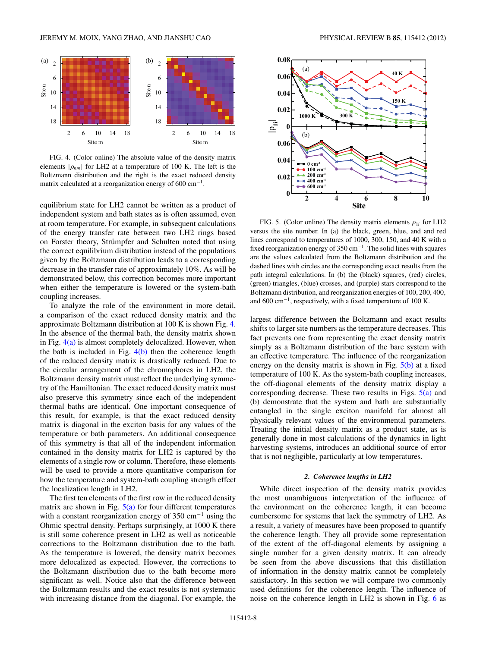<span id="page-7-0"></span>

FIG. 4. (Color online) The absolute value of the density matrix elements  $|\rho_{nm}|$  for LH2 at a temperature of 100 K. The left is the Boltzmann distribution and the right is the exact reduced density matrix calculated at a reorganization energy of 600  $cm^{-1}$ .

equilibrium state for LH2 cannot be written as a product of independent system and bath states as is often assumed, even at room temperature. For example, in subsequent calculations of the energy transfer rate between two LH2 rings based on Forster theory, Strümpfer and Schulten noted that using the correct equilibrium distribution instead of the populations given by the Boltzmann distribution leads to a corresponding decrease in the transfer rate of approximately 10%. As will be demonstrated below, this correction becomes more important when either the temperature is lowered or the system-bath coupling increases.

To analyze the role of the environment in more detail, a comparison of the exact reduced density matrix and the approximate Boltzmann distribution at 100 K is shown Fig. 4. In the absence of the thermal bath, the density matrix shown in Fig.  $4(a)$  is almost completely delocalized. However, when the bath is included in Fig.  $4(b)$  then the coherence length of the reduced density matrix is drastically reduced. Due to the circular arrangement of the chromophores in LH2, the Boltzmann density matrix must reflect the underlying symmetry of the Hamiltonian. The exact reduced density matrix must also preserve this symmetry since each of the independent thermal baths are identical. One important consequence of this result, for example, is that the exact reduced density matrix is diagonal in the exciton basis for any values of the temperature or bath parameters. An additional consequence of this symmetry is that all of the independent information contained in the density matrix for LH2 is captured by the elements of a single row or column. Therefore, these elements will be used to provide a more quantitative comparison for how the temperature and system-bath coupling strength effect the localization length in LH2.

The first ten elements of the first row in the reduced density matrix are shown in Fig.  $5(a)$  for four different temperatures with a constant reorganization energy of 350 cm<sup>−</sup><sup>1</sup> using the Ohmic spectral density. Perhaps surprisingly, at 1000 K there is still some coherence present in LH2 as well as noticeable corrections to the Boltzmann distribution due to the bath. As the temperature is lowered, the density matrix becomes more delocalized as expected. However, the corrections to the Boltzmann distribution due to the bath become more significant as well. Notice also that the difference between the Boltzmann results and the exact results is not systematic with increasing distance from the diagonal. For example, the



FIG. 5. (Color online) The density matrix elements  $\rho_{1i}$  for LH2 versus the site number. In (a) the black, green, blue, and and red lines correspond to temperatures of 1000, 300, 150, and 40 K with a fixed reorganization energy of 350 cm<sup>−</sup>1. The solid lines with squares are the values calculated from the Boltzmann distribution and the dashed lines with circles are the corresponding exact results from the path integral calculations. In (b) the (black) squares, (red) circles, (green) triangles, (blue) crosses, and (purple) stars correspond to the Boltzmann distribution, and reorganization energies of 100, 200, 400*,* and 600 cm<sup>−</sup>1, respectively, with a fixed temperature of 100 K.

largest difference between the Boltzmann and exact results shifts to larger site numbers as the temperature decreases. This fact prevents one from representing the exact density matrix simply as a Boltzmann distribution of the bare system with an effective temperature. The influence of the reorganization energy on the density matrix is shown in Fig.  $5(b)$  at a fixed temperature of 100 K. As the system-bath coupling increases, the off-diagonal elements of the density matrix display a corresponding decrease. These two results in Figs.  $5(a)$  and (b) demonstrate that the system and bath are substantially entangled in the single exciton manifold for almost all physically relevant values of the environmental parameters. Treating the initial density matrix as a product state, as is generally done in most calculations of the dynamics in light harvesting systems, introduces an additional source of error that is not negligible, particularly at low temperatures.

#### *2. Coherence lengths in LH2*

While direct inspection of the density matrix provides the most unambiguous interpretation of the influence of the environment on the coherence length, it can become cumbersome for systems that lack the symmetry of LH2. As a result, a variety of measures have been proposed to quantify the coherence length. They all provide some representation of the extent of the off-diagonal elements by assigning a single number for a given density matrix. It can already be seen from the above discussions that this distillation of information in the density matrix cannot be completely satisfactory. In this section we will compare two commonly used definitions for the coherence length. The influence of noise on the coherence length in LH2 is shown in Fig. [6](#page-8-0) as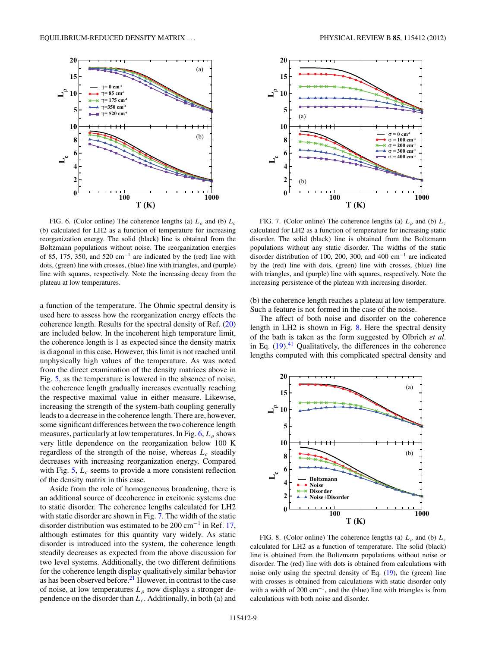<span id="page-8-0"></span>

FIG. 6. (Color online) The coherence lengths (a)  $L<sub>\rho</sub>$  and (b)  $L<sub>c</sub>$ (b) calculated for LH2 as a function of temperature for increasing reorganization energy. The solid (black) line is obtained from the Boltzmann populations without noise. The reorganization energies of 85, 175, 350, and 520 cm<sup>-1</sup> are indicated by the (red) line with dots, (green) line with crosses, (blue) line with triangles, and (purple) line with squares, respectively. Note the increasing decay from the plateau at low temperatures.

a function of the temperature. The Ohmic spectral density is used here to assess how the reorganization energy effects the coherence length. Results for the spectral density of Ref. [\(20\)](#page-4-0) are included below. In the incoherent high temperature limit, the coherence length is 1 as expected since the density matrix is diagonal in this case. However, this limit is not reached until unphysically high values of the temperature. As was noted from the direct examination of the density matrices above in Fig. [5,](#page-7-0) as the temperature is lowered in the absence of noise, the coherence length gradually increases eventually reaching the respective maximal value in either measure. Likewise, increasing the strength of the system-bath coupling generally leads to a decrease in the coherence length. There are, however, some significant differences between the two coherence length measures, particularly at low temperatures. In Fig. 6, *Lρ* shows very little dependence on the reorganization below 100 K regardless of the strength of the noise, whereas  $L_c$  steadily decreases with increasing reorganization energy. Compared with Fig. [5,](#page-7-0)  $L_c$  seems to provide a more consistent reflection of the density matrix in this case.

Aside from the role of homogeneous broadening, there is an additional source of decoherence in excitonic systems due to static disorder. The coherence lengths calculated for LH2 with static disorder are shown in Fig. 7. The width of the static disorder distribution was estimated to be 200 cm<sup>-1</sup> in Ref. [17,](#page-12-0) although estimates for this quantity vary widely. As static disorder is introduced into the system, the coherence length steadily decreases as expected from the above discussion for two level systems. Additionally, the two different definitions for the coherence length display qualitatively similar behavior as has been observed before.<sup>[21](#page-12-0)</sup> However, in contrast to the case of noise, at low temperatures  $L_{\rho}$  now displays a stronger dependence on the disorder than *Lc*. Additionally, in both (a) and



FIG. 7. (Color online) The coherence lengths (a)  $L<sub>\rho</sub>$  and (b)  $L<sub>c</sub>$ calculated for LH2 as a function of temperature for increasing static disorder. The solid (black) line is obtained from the Boltzmann populations without any static disorder. The widths of the static disorder distribution of 100, 200, 300, and 400 cm<sup>−</sup><sup>1</sup> are indicated by the (red) line with dots, (green) line with crosses, (blue) line with triangles, and (purple) line with squares, respectively. Note the increasing persistence of the plateau with increasing disorder.

(b) the coherence length reaches a plateau at low temperature. Such a feature is not formed in the case of the noise.

The affect of both noise and disorder on the coherence length in LH2 is shown in Fig. 8. Here the spectral density of the bath is taken as the form suggested by Olbrich *et al.* in Eq.  $(19).<sup>41</sup>$  $(19).<sup>41</sup>$  $(19).<sup>41</sup>$  $(19).<sup>41</sup>$  Qualitatively, the differences in the coherence lengths computed with this complicated spectral density and



FIG. 8. (Color online) The coherence lengths (a)  $L_p$  and (b)  $L_c$ calculated for LH2 as a function of temperature. The solid (black) line is obtained from the Boltzmann populations without noise or disorder. The (red) line with dots is obtained from calculations with noise only using the spectral density of Eq. [\(19\)](#page-4-0), the (green) line with crosses is obtained from calculations with static disorder only with a width of 200 cm<sup>-1</sup>, and the (blue) line with triangles is from calculations with both noise and disorder.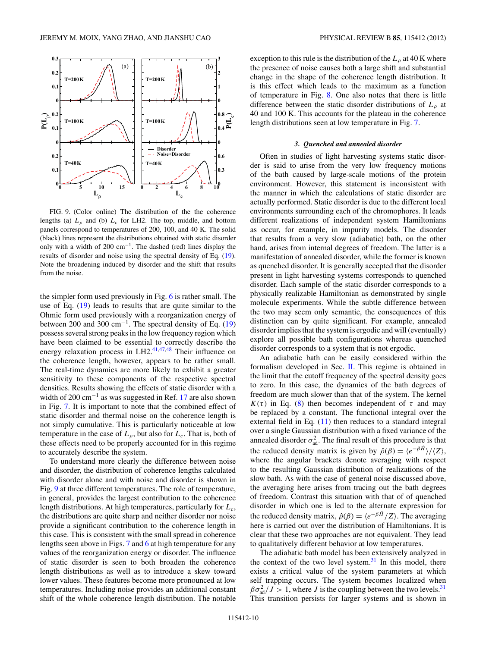<span id="page-9-0"></span>

FIG. 9. (Color online) The distribution of the the coherence lengths (a)  $L_p$  and (b)  $L_c$  for LH2. The top, middle, and bottom panels correspond to temperatures of 200, 100, and 40 K. The solid (black) lines represent the distributions obtained with static disorder only with a width of 200 cm<sup>−</sup>1. The dashed (red) lines display the results of disorder and noise using the spectral density of Eq. [\(19\)](#page-4-0). Note the broadening induced by disorder and the shift that results from the noise.

the simpler form used previously in Fig. [6](#page-8-0) is rather small. The use of Eq. [\(19\)](#page-4-0) leads to results that are quite similar to the Ohmic form used previously with a reorganization energy of between 200 and 300 cm<sup>-1</sup>. The spectral density of Eq.  $(19)$ possess several strong peaks in the low frequency region which have been claimed to be essential to correctly describe the energy relaxation process in LH2.<sup>[41,47,48](#page-13-0)</sup> Their influence on the coherence length, however, appears to be rather small. The real-time dynamics are more likely to exhibit a greater sensitivity to these components of the respective spectral densities. Results showing the effects of static disorder with a width of 200 cm<sup>-1</sup> as was suggested in Ref. [17](#page-12-0) are also shown in Fig. [7.](#page-8-0) It is important to note that the combined effect of static disorder and thermal noise on the coherence length is not simply cumulative. This is particularly noticeable at low temperature in the case of  $L_\rho$ , but also for  $L_c$ . That is, both of these effects need to be properly accounted for in this regime to accurately describe the system.

To understand more clearly the difference between noise and disorder, the distribution of coherence lengths calculated with disorder alone and with noise and disorder is shown in Fig. 9 at three different temperatures. The role of temperature, in general, provides the largest contribution to the coherence length distributions. At high temperatures, particularly for *Lc*, the distributions are quite sharp and neither disorder nor noise provide a significant contribution to the coherence length in this case. This is consistent with the small spread in coherence lengths seen above in Figs. [7](#page-8-0) and [6](#page-8-0) at high temperature for any values of the reorganization energy or disorder. The influence of static disorder is seen to both broaden the coherence length distributions as well as to introduce a skew toward lower values. These features become more pronounced at low temperatures. Including noise provides an additional constant shift of the whole coherence length distribution. The notable exception to this rule is the distribution of the  $L_\rho$  at 40 K where the presence of noise causes both a large shift and substantial change in the shape of the coherence length distribution. It is this effect which leads to the maximum as a function of temperature in Fig. [8.](#page-8-0) One also notes that there is little difference between the static disorder distributions of *Lρ* at 40 and 100 K. This accounts for the plateau in the coherence length distributions seen at low temperature in Fig. [7.](#page-8-0)

### *3. Quenched and annealed disorder*

Often in studies of light harvesting systems static disorder is said to arise from the very low frequency motions of the bath caused by large-scale motions of the protein environment. However, this statement is inconsistent with the manner in which the calculations of static disorder are actually performed. Static disorder is due to the different local environments surrounding each of the chromophores. It leads different realizations of independent system Hamiltonians as occur, for example, in impurity models. The disorder that results from a very slow (adiabatic) bath, on the other hand, arises from internal degrees of freedom. The latter is a manifestation of annealed disorder, while the former is known as quenched disorder. It is generally accepted that the disorder present in light harvesting systems corresponds to quenched disorder. Each sample of the static disorder corresponds to a physically realizable Hamiltonian as demonstrated by single molecule experiments. While the subtle difference between the two may seem only semantic, the consequences of this distinction can by quite significant. For example, annealed disorder implies that the system is ergodic and will (eventually) explore all possible bath configurations whereas quenched disorder corresponds to a system that is not ergodic.

An adiabatic bath can be easily considered within the formalism developed in Sec. [II.](#page-2-0) This regime is obtained in the limit that the cutoff frequency of the spectral density goes to zero. In this case, the dynamics of the bath degrees of freedom are much slower than that of the system. The kernel *K*(*τ*) in Eq. [\(8\)](#page-2-0) then becomes independent of *τ* and may be replaced by a constant. The functional integral over the external field in Eq. [\(11\)](#page-2-0) then reduces to a standard integral over a single Gaussian distribution with a fixed variance of the annealed disorder  $\sigma_{\text{ad}}^2$ . The final result of this procedure is that the reduced density matrix is given by  $\hat{\rho}(\beta) = \langle e^{-\beta \hat{H}} \rangle / \langle Z \rangle$ , where the angular brackets denote averaging with respect to the resulting Gaussian distribution of realizations of the slow bath. As with the case of general noise discussed above, the averaging here arises from tracing out the bath degrees of freedom. Contrast this situation with that of of quenched disorder in which one is led to the alternate expression for the reduced density matrix,  $\hat{\rho}(\beta) = \langle e^{-\beta \hat{H}}/Z \rangle$ . The averaging here is carried out over the distribution of Hamiltonians. It is clear that these two approaches are not equivalent. They lead to qualitatively different behavior at low temperatures.

The adiabatic bath model has been extensively analyzed in the context of the two level system. $31$  In this model, there exists a critical value of the system parameters at which self trapping occurs. The system becomes localized when  $\beta \sigma_{\rm ad}^2 / J > 1$ , where *J* is the coupling between the two levels.<sup>31</sup> This transition persists for larger systems and is shown in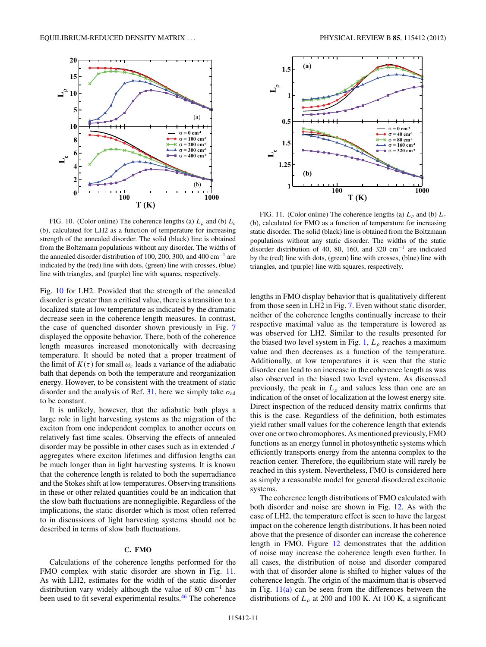<span id="page-10-0"></span>

FIG. 10. (Color online) The coherence lengths (a)  $L<sub>\rho</sub>$  and (b)  $L<sub>c</sub>$ (b), calculated for LH2 as a function of temperature for increasing strength of the annealed disorder. The solid (black) line is obtained from the Boltzmann populations without any disorder. The widths of the annealed disorder distribution of 100, 200, 300, and 400 cm<sup>−</sup><sup>1</sup> are indicated by the (red) line with dots, (green) line with crosses, (blue) line with triangles, and (purple) line with squares, respectively.

Fig. 10 for LH2. Provided that the strength of the annealed disorder is greater than a critical value, there is a transition to a localized state at low temperature as indicated by the dramatic decrease seen in the coherence length measures. In contrast, the case of quenched disorder shown previously in Fig. [7](#page-8-0) displayed the opposite behavior. There, both of the coherence length measures increased monotonically with decreasing temperature. It should be noted that a proper treatment of the limit of  $K(\tau)$  for small  $\omega_c$  leads a variance of the adiabatic bath that depends on both the temperature and reorganization energy. However, to be consistent with the treatment of static disorder and the analysis of Ref. [31,](#page-13-0) here we simply take  $\sigma_{ad}$ to be constant.

It is unlikely, however, that the adiabatic bath plays a large role in light harvesting systems as the migration of the exciton from one independent complex to another occurs on relatively fast time scales. Observing the effects of annealed disorder may be possible in other cases such as in extended *J* aggregates where exciton lifetimes and diffusion lengths can be much longer than in light harvesting systems. It is known that the coherence length is related to both the superradiance and the Stokes shift at low temperatures. Observing transitions in these or other related quantities could be an indication that the slow bath fluctuations are nonnegligible. Regardless of the implications, the static disorder which is most often referred to in discussions of light harvesting systems should not be described in terms of slow bath fluctuations.

# **C. FMO**

Calculations of the coherence lengths performed for the FMO complex with static disorder are shown in Fig. 11. As with LH2, estimates for the width of the static disorder distribution vary widely although the value of 80  $cm^{-1}$  has been used to fit several experimental results[.46](#page-13-0) The coherence



FIG. 11. (Color online) The coherence lengths (a)  $L<sub>\rho</sub>$  and (b)  $L<sub>c</sub>$ (b), calculated for FMO as a function of temperature for increasing static disorder. The solid (black) line is obtained from the Boltzmann populations without any static disorder. The widths of the static disorder distribution of 40, 80, 160, and 320 cm<sup>−</sup><sup>1</sup> are indicated by the (red) line with dots, (green) line with crosses, (blue) line with triangles, and (purple) line with squares, respectively.

lengths in FMO display behavior that is qualitatively different from those seen in LH2 in Fig. [7.](#page-8-0) Even without static disorder, neither of the coherence lengths continually increase to their respective maximal value as the temperature is lowered as was observed for LH2. Similar to the results presented for the biased two level system in Fig. [1,](#page-5-0)  $L_{\rho}$  reaches a maximum value and then decreases as a function of the temperature. Additionally, at low temperatures it is seen that the static disorder can lead to an increase in the coherence length as was also observed in the biased two level system. As discussed previously, the peak in  $L_{\rho}$  and values less than one are an indication of the onset of localization at the lowest energy site. Direct inspection of the reduced density matrix confirms that this is the case. Regardless of the definition, both estimates yield rather small values for the coherence length that extends over one or two chromophores. As mentioned previously, FMO functions as an energy funnel in photosynthetic systems which efficiently transports energy from the antenna complex to the reaction center. Therefore, the equilibrium state will rarely be reached in this system. Nevertheless, FMO is considered here as simply a reasonable model for general disordered excitonic systems.

The coherence length distributions of FMO calculated with both disorder and noise are shown in Fig. [12.](#page-11-0) As with the case of LH2, the temperature effect is seen to have the largest impact on the coherence length distributions. It has been noted above that the presence of disorder can increase the coherence length in FMO. Figure [12](#page-11-0) demonstrates that the addition of noise may increase the coherence length even further. In all cases, the distribution of noise and disorder compared with that of disorder alone is shifted to higher values of the coherence length. The origin of the maximum that is observed in Fig.  $11(a)$  can be seen from the differences between the distributions of  $L_p$  at 200 and 100 K. At 100 K, a significant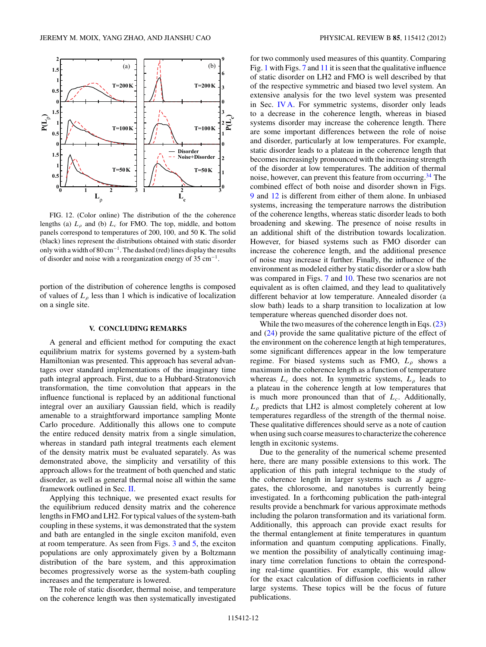<span id="page-11-0"></span>

FIG. 12. (Color online) The distribution of the the coherence lengths (a)  $L<sub>o</sub>$  and (b)  $L<sub>c</sub>$  for FMO. The top, middle, and bottom panels correspond to temperatures of 200, 100*,* and 50 K. The solid (black) lines represent the distributions obtained with static disorder only with a width of 80 cm<sup>−</sup>1. The dashed (red) lines display the results of disorder and noise with a reorganization energy of 35 cm<sup>−</sup>1.

portion of the distribution of coherence lengths is composed of values of  $L_\rho$  less than 1 which is indicative of localization on a single site.

### **V. CONCLUDING REMARKS**

A general and efficient method for computing the exact equilibrium matrix for systems governed by a system-bath Hamiltonian was presented. This approach has several advantages over standard implementations of the imaginary time path integral approach. First, due to a Hubbard-Stratonovich transformation, the time convolution that appears in the influence functional is replaced by an additional functional integral over an auxiliary Gaussian field, which is readily amenable to a straightforward importance sampling Monte Carlo procedure. Additionally this allows one to compute the entire reduced density matrix from a single simulation, whereas in standard path integral treatments each element of the density matrix must be evaluated separately. As was demonstrated above, the simplicity and versatility of this approach allows for the treatment of both quenched and static disorder, as well as general thermal noise all within the same framework outlined in Sec. [II.](#page-2-0)

Applying this technique, we presented exact results for the equilibrium reduced density matrix and the coherence lengths in FMO and LH2. For typical values of the system-bath coupling in these systems, it was demonstrated that the system and bath are entangled in the single exciton manifold, even at room temperature. As seen from Figs. [3](#page-6-0) and [5,](#page-7-0) the exciton populations are only approximately given by a Boltzmann distribution of the bare system, and this approximation becomes progressively worse as the system-bath coupling increases and the temperature is lowered.

The role of static disorder, thermal noise, and temperature on the coherence length was then systematically investigated for two commonly used measures of this quantity. Comparing Fig. [1](#page-5-0) with Figs. [7](#page-8-0) and [11](#page-10-0) it is seen that the qualitative influence of static disorder on LH2 and FMO is well described by that of the respective symmetric and biased two level system. An extensive analysis for the two level system was presented in Sec. [IV A.](#page-5-0) For symmetric systems, disorder only leads to a decrease in the coherence length, whereas in biased systems disorder may increase the coherence length. There are some important differences between the role of noise and disorder, particularly at low temperatures. For example, static disorder leads to a plateau in the coherence length that becomes increasingly pronounced with the increasing strength of the disorder at low temperatures. The addition of thermal noise, however, can prevent this feature from occurring.[34](#page-13-0) The combined effect of both noise and disorder shown in Figs. [9](#page-9-0) and 12 is different from either of them alone. In unbiased systems, increasing the temperature narrows the distribution of the coherence lengths, whereas static disorder leads to both broadening and skewing. The presence of noise results in an additional shift of the distribution towards localization. However, for biased systems such as FMO disorder can increase the coherence length, and the additional presence of noise may increase it further. Finally, the influence of the environment as modeled either by static disorder or a slow bath was compared in Figs. [7](#page-8-0) and [10.](#page-10-0) These two scenarios are not equivalent as is often claimed, and they lead to qualitatively different behavior at low temperature. Annealed disorder (a slow bath) leads to a sharp transition to localization at low temperature whereas quenched disorder does not.

While the two measures of the coherence length in Eqs. [\(23\)](#page-4-0) and [\(24\)](#page-4-0) provide the same qualitative picture of the effect of the environment on the coherence length at high temperatures, some significant differences appear in the low temperature regime. For biased systems such as FMO, *Lρ* shows a maximum in the coherence length as a function of temperature whereas  $L_c$  does not. In symmetric systems,  $L_p$  leads to a plateau in the coherence length at low temperatures that is much more pronounced than that of *Lc*. Additionally, *Lρ* predicts that LH2 is almost completely coherent at low temperatures regardless of the strength of the thermal noise. These qualitative differences should serve as a note of caution when using such coarse measures to characterize the coherence length in excitonic systems.

Due to the generality of the numerical scheme presented here, there are many possible extensions to this work. The application of this path integral technique to the study of the coherence length in larger systems such as *J* aggregates, the chlorosome, and nanotubes is currently being investigated. In a forthcoming publication the path-integral results provide a benchmark for various approximate methods including the polaron transformation and its variational form. Additionally, this approach can provide exact results for the thermal entanglement at finite temperatures in quantum information and quantum computing applications. Finally, we mention the possibility of analytically continuing imaginary time correlation functions to obtain the corresponding real-time quantities. For example, this would allow for the exact calculation of diffusion coefficients in rather large systems. These topics will be the focus of future publications.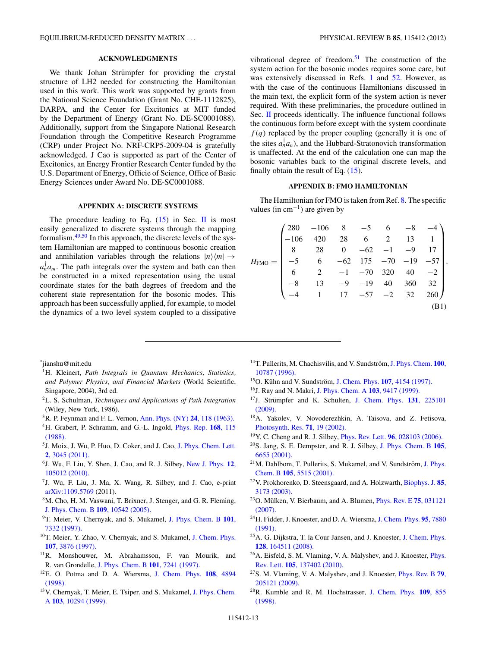# **ACKNOWLEDGMENTS**

<span id="page-12-0"></span>We thank Johan Strümpfer for providing the crystal structure of LH2 needed for constructing the Hamiltonian used in this work. This work was supported by grants from the National Science Foundation (Grant No. CHE-1112825), DARPA, and the Center for Excitonics at MIT funded by the Department of Energy (Grant No. DE-SC0001088). Additionally, support from the Singapore National Research Foundation through the Competitive Research Programme (CRP) under Project No. NRF-CRP5-2009-04 is gratefully acknowledged. J Cao is supported as part of the Center of Excitonics, an Energy Frontier Research Center funded by the U.S. Department of Energy, Officie of Science, Office of Basic Energy Sciences under Award No. DE-SC0001088.

# **APPENDIX A: DISCRETE SYSTEMS**

The procedure leading to Eq.  $(15)$  in Sec. [II](#page-2-0) is most easily generalized to discrete systems through the mapping formalism.[49,50](#page-13-0) In this approach, the discrete levels of the system Hamiltonian are mapped to continuous bosonic creation and annihilation variables through the relations  $|n\rangle\langle m| \rightarrow$  $a_n^{\dagger} a_m$ . The path integrals over the system and bath can then be constructed in a mixed representation using the usual coordinate states for the bath degrees of freedom and the coherent state representation for the bosonic modes. This approach has been successfully applied, for example, to model the dynamics of a two level system coupled to a dissipative vibrational degree of freedom. $51$  The construction of the system action for the bosonic modes requires some care, but was extensively discussed in Refs. 1 and  $52$ . However, as with the case of the continuous Hamiltonians discussed in the main text, the explicit form of the system action is never required. With these preliminaries, the procedure outlined in Sec. [II](#page-2-0) proceeds identically. The influence functional follows the continuous form before except with the system coordinate  $f(q)$  replaced by the proper coupling (generally it is one of the sites  $a_n^{\dagger} a_n$ ), and the Hubbard-Stratonovich transformation is unaffected. At the end of the calculation one can map the bosonic variables back to the original discrete levels, and finally obtain the result of Eq. [\(15\)](#page-3-0).

# **APPENDIX B: FMO HAMILTONIAN**

The Hamiltonian for FMO is taken from Ref. 8. The specific values (in  $cm^{-1}$ ) are given by

| $H_{\text{FM}}$                                                                                                                                                                                                                                                                                   |  |  |  |  |  |  |  |  |
|---------------------------------------------------------------------------------------------------------------------------------------------------------------------------------------------------------------------------------------------------------------------------------------------------|--|--|--|--|--|--|--|--|
|                                                                                                                                                                                                                                                                                                   |  |  |  |  |  |  |  |  |
|                                                                                                                                                                                                                                                                                                   |  |  |  |  |  |  |  |  |
|                                                                                                                                                                                                                                                                                                   |  |  |  |  |  |  |  |  |
| $=\begin{pmatrix} 280 & -106 & 8 & -5 & 6 & -8 & -4 \\ -106 & 420 & 28 & 6 & 2 & 13 & 1 \\ 8 & 28 & 0 & -62 & -1 & -9 & 17 \\ -5 & 6 & -62 & 175 & -70 & -19 & -57 \\ 6 & 2 & -1 & -70 & 320 & 40 & -2 \\ -8 & 13 & -9 & -19 & 40 & 360 & 32 \\ -4 & 1 & 17 & -57 & -2 & 32 & 260 \end{pmatrix}.$ |  |  |  |  |  |  |  |  |

\* jianshu@mit.edu

- 1H. Kleinert, *Path Integrals in Quantum Mechanics, Statistics, and Polymer Physics, and Financial Markets* (World Scientific, Singapore, 2004), 3rd ed.
- 2L. S. Schulman, *Techniques and Applications of Path Integration* (Wiley, New York, 1986).
- 3R. P. Feynman and F. L. Vernon, [Ann. Phys. \(NY\)](http://dx.doi.org/10.1016/0003-4916(63)90068-X) **24**, 118 (1963).
- 4H. Grabert, P. Schramm, and G.-L. Ingold, [Phys. Rep.](http://dx.doi.org/10.1016/0370-1573(88)90023-3) **168**, 115 [\(1988\).](http://dx.doi.org/10.1016/0370-1573(88)90023-3)
- 5J. Moix, J. Wu, P. Huo, D. Coker, and J. Cao, [J. Phys. Chem. Lett.](http://dx.doi.org/10.1021/jz201259v) **2**[, 3045 \(2011\).](http://dx.doi.org/10.1021/jz201259v)
- 6J. Wu, F. Liu, Y. Shen, J. Cao, and R. J. Silbey, [New J. Phys.](http://dx.doi.org/10.1088/1367-2630/12/10/105012) **12**, [105012 \(2010\).](http://dx.doi.org/10.1088/1367-2630/12/10/105012)
- 7J. Wu, F. Liu, J. Ma, X. Wang, R. Silbey, and J. Cao, e-print [arXiv:1109.5769](http://arXiv.org/abs/arXiv:1109.5769) (2011).
- <sup>8</sup>M. Cho, H. M. Vaswani, T. Brixner, J. Stenger, and G. R. Fleming, [J. Phys. Chem. B](http://dx.doi.org/10.1021/jp050788d) **109**, 10542 (2005).
- 9T. Meier, V. Chernyak, and S. Mukamel, [J. Phys. Chem. B](http://dx.doi.org/10.1021/jp970045v) **101**, [7332 \(1997\).](http://dx.doi.org/10.1021/jp970045v)
- <sup>10</sup>T. Meier, Y. Zhao, V. Chernyak, and S. Mukamel, [J. Chem. Phys.](http://dx.doi.org/10.1063/1.474746) **107**[, 3876 \(1997\).](http://dx.doi.org/10.1063/1.474746)
- 11R. Monshouwer, M. Abrahamsson, F. van Mourik, and R. van Grondelle, [J. Phys. Chem. B](http://dx.doi.org/10.1021/jp963377t) **101**, 7241 (1997).
- 12E. O. Potma and D. A. Wiersma, [J. Chem. Phys.](http://dx.doi.org/10.1063/1.475898) **108**, 4894 [\(1998\).](http://dx.doi.org/10.1063/1.475898)
- 13V. Chernyak, T. Meier, E. Tsiper, and S. Mukamel, [J. Phys. Chem.](http://dx.doi.org/10.1021/jp991893o) A **103**[, 10294 \(1999\).](http://dx.doi.org/10.1021/jp991893o)
- <sup>14</sup>T. Pullerits, M. Chachisvilis, and V. Sundström, [J. Phys. Chem.](http://dx.doi.org/10.1021/jp953639b) **100**, [10787 \(1996\).](http://dx.doi.org/10.1021/jp953639b)
- <sup>15</sup>O. Kühn and V. Sundström, [J. Chem. Phys.](http://dx.doi.org/10.1063/1.474803) **107**, 4154 (1997).
- 16J. Ray and N. Makri, [J. Phys. Chem. A](http://dx.doi.org/10.1021/jp9917143) **103**, 9417 (1999).
- <sup>17</sup>J. Strümpfer and K. Schulten, [J. Chem. Phys.](http://dx.doi.org/10.1063/1.3271348) **131**, 225101 [\(2009\).](http://dx.doi.org/10.1063/1.3271348)
- 18A. Yakolev, V. Novoderezhkin, A. Taisova, and Z. Fetisova, [Photosynth. Res.](http://dx.doi.org/10.1023/A:1014995328869) **71**, 19 (2002).
- 19Y. C. Cheng and R. J. Silbey, Phys. Rev. Lett. **96**[, 028103 \(2006\).](http://dx.doi.org/10.1103/PhysRevLett.96.028103)
- 20S. Jang, S. E. Dempster, and R. J. Silbey, [J. Phys. Chem. B](http://dx.doi.org/10.1021/jp010169e) **105**, [6655 \(2001\).](http://dx.doi.org/10.1021/jp010169e)
- $21$ M. Dahlbom, T. Pullerits, S. Mukamel, and V. Sundström, [J. Phys.](http://dx.doi.org/10.1021/jp004496i) Chem. B **105**[, 5515 \(2001\).](http://dx.doi.org/10.1021/jp004496i)
- 22V. Prokhorenko, D. Steensgaard, and A. Holzwarth, [Biophys. J.](http://dx.doi.org/10.1016/S0006-3495(03)74735-3) **85**, [3173 \(2003\).](http://dx.doi.org/10.1016/S0006-3495(03)74735-3)
- <sup>23</sup>O. Mülken, V. Bierbaum, and A. Blumen, *[Phys. Rev. E](http://dx.doi.org/10.1103/PhysRevE.75.031121)* 75, 031121 [\(2007\).](http://dx.doi.org/10.1103/PhysRevE.75.031121)
- 24H. Fidder, J. Knoester, and D. A. Wiersma, [J. Chem. Phys.](http://dx.doi.org/10.1063/1.461317) **95**, 7880 [\(1991\).](http://dx.doi.org/10.1063/1.461317)
- 25A. G. Dijkstra, T. la Cour Jansen, and J. Knoester, [J. Chem. Phys.](http://dx.doi.org/10.1063/1.2897753) **128**[, 164511 \(2008\).](http://dx.doi.org/10.1063/1.2897753)
- 26A. Eisfeld, S. M. Vlaming, V. A. Malyshev, and J. Knoester, [Phys.](http://dx.doi.org/10.1103/PhysRevLett.105.137402) Rev. Lett. **105**[, 137402 \(2010\).](http://dx.doi.org/10.1103/PhysRevLett.105.137402)
- 27S. M. Vlaming, V. A. Malyshev, and J. Knoester, [Phys. Rev. B](http://dx.doi.org/10.1103/PhysRevB.79.205121) **79**, [205121 \(2009\).](http://dx.doi.org/10.1103/PhysRevB.79.205121)
- 28R. Kumble and R. M. Hochstrasser, [J. Chem. Phys.](http://dx.doi.org/10.1063/1.476924) **109**, 855 [\(1998\).](http://dx.doi.org/10.1063/1.476924)